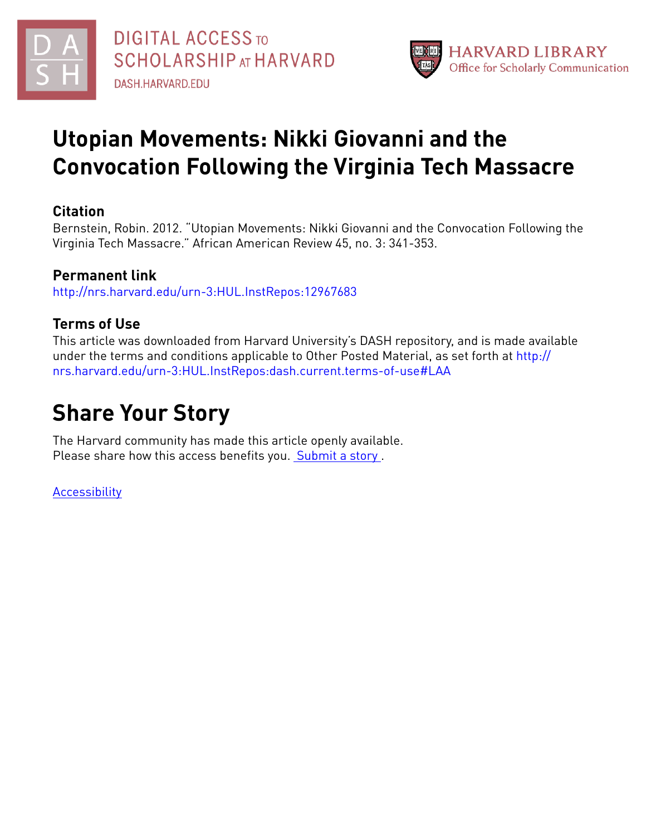



# **Utopian Movements: Nikki Giovanni and the Convocation Following the Virginia Tech Massacre**

### **Citation**

Bernstein, Robin. 2012. "Utopian Movements: Nikki Giovanni and the Convocation Following the Virginia Tech Massacre." African American Review 45, no. 3: 341-353.

## **Permanent link**

<http://nrs.harvard.edu/urn-3:HUL.InstRepos:12967683>

## **Terms of Use**

This article was downloaded from Harvard University's DASH repository, and is made available under the terms and conditions applicable to Other Posted Material, as set forth at [http://](http://nrs.harvard.edu/urn-3:HUL.InstRepos:dash.current.terms-of-use#LAA) [nrs.harvard.edu/urn-3:HUL.InstRepos:dash.current.terms-of-use#LAA](http://nrs.harvard.edu/urn-3:HUL.InstRepos:dash.current.terms-of-use#LAA)

# **Share Your Story**

The Harvard community has made this article openly available. Please share how this access benefits you. [Submit](http://osc.hul.harvard.edu/dash/open-access-feedback?handle=&title=Utopian%20Movements:%20Nikki%20Giovanni%20and%20the%20Convocation%20Following%20the%20Virginia%20Tech%20Massacre&community=1/1&collection=1/2&owningCollection1/2&harvardAuthors=ed6713bc94329cb3f723388fa5f130fc&departmentAfrican%20and%20African%20American%20Studies) a story .

[Accessibility](https://dash.harvard.edu/pages/accessibility)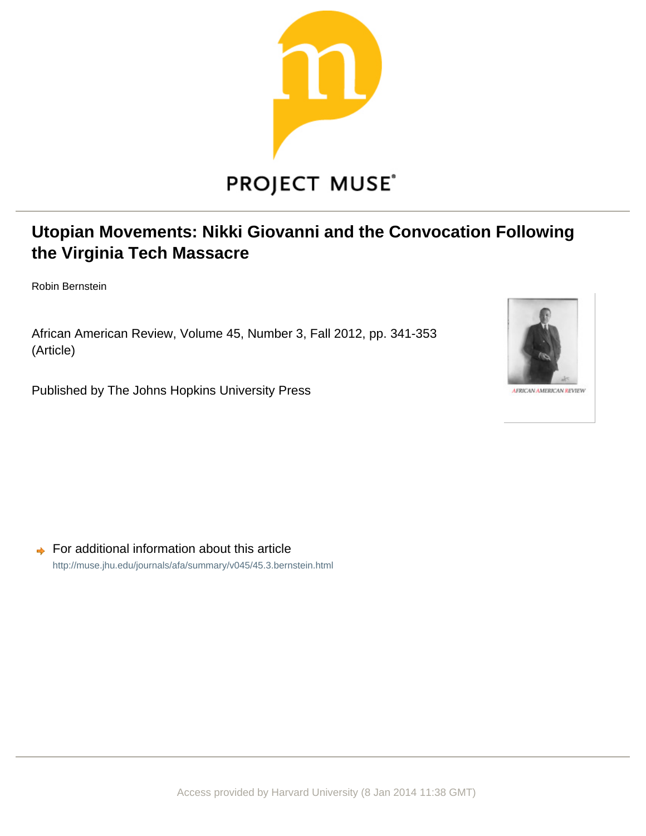

## **PROJECT MUSE®**

## **Utopian Movements: Nikki Giovanni and the Convocation Following the Virginia Tech Massacre**

Robin Bernstein

African American Review, Volume 45, Number 3, Fall 2012, pp. 341-353 (Article)

Published by The Johns Hopkins University Press



 $\rightarrow$  For additional information about this article <http://muse.jhu.edu/journals/afa/summary/v045/45.3.bernstein.html>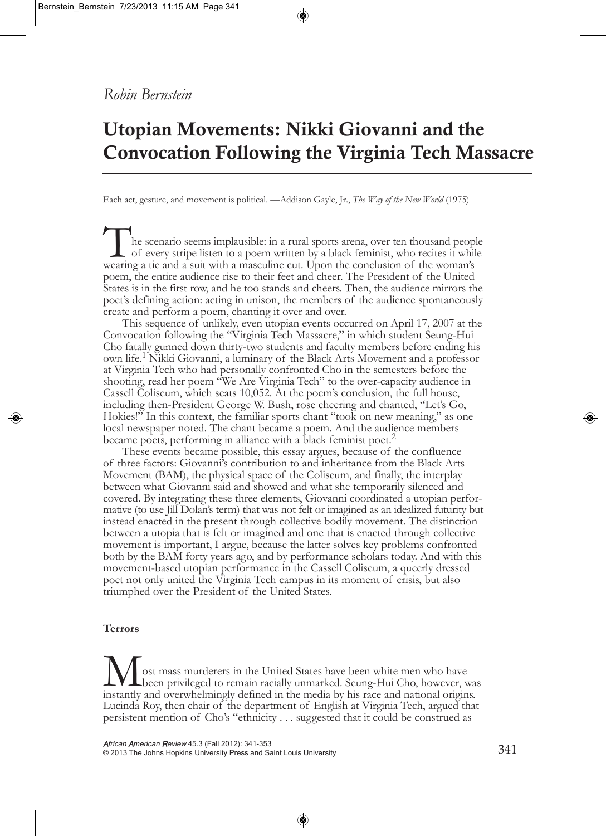## **Utopian Movements: Nikki Giovanni and the Convocation Following the Virginia Tech Massacre**

Each act, gesture, and movement is political. —Addison Gayle, Jr., *The Way of the New World* (1975)

The scenario seems implausible: in a rural sports arena, over ten thousand people of every stripe listen to a poem written by a black feminist, who recites it while wearing a tie and a suit with a masculine cut. Upon the conclusion of the woman's poem, the entire audience rise to their feet and cheer. The President of the United States is in the first row, and he too stands and cheers. Then, the audience mirrors the poet's defining action: acting in unison, the members of the audience spontaneously create and perform a poem, chanting it over and over.

This sequence of unlikely, even utopian events occurred on April 17, 2007 at the Convocation following the "Virginia Tech Massacre," in which student Seung-Hui Cho fatally gunned down thirty-two students and faculty members before ending his own life.<sup>1</sup> Nikki Giovanni, a luminary of the Black Arts Movement and a professor at Virginia Tech who had personally confronted Cho in the semesters before the shooting, read her poem "We Are Virginia Tech" to the over-capacity audience in Cassell Coliseum, which seats 10,052. At the poem's conclusion, the full house, including then-President George W. Bush, rose cheering and chanted, "Let's Go, Hokies!" In this context, the familiar sports chant "took on new meaning," as one local newspaper noted. The chant became a poem. And the audience members became poets, performing in alliance with a black feminist poet.<sup>2</sup>

These events became possible, this essay argues, because of the confluence of three factors: Giovanni's contribution to and inheritance from the Black Arts Movement (BAM), the physical space of the Coliseum, and finally, the interplay between what Giovanni said and showed and what she temporarily silenced and covered. By integrating these three elements, Giovanni coordinated a utopian performative (to use Jill Dolan's term) that was not felt or imagined as an idealized futurity but instead enacted in the present through collective bodily movement. The distinction between a utopia that is felt or imagined and one that is enacted through collective movement is important, I argue, because the latter solves key problems confronted both by the BAM forty years ago, and by performance scholars today. And with this movement-based utopian performance in the Cassell Coliseum, a queerly dressed poet not only united the Virginia Tech campus in its moment of crisis, but also triumphed over the President of the United States.

### **Terrors**

ost mass murderers in the United States have been white men who have been privileged to remain racially unmarked. Seung-Hui Cho, however, was instantly and overwhelmingly defined in the media by his race and national origins. Lucinda Roy, then chair of the department of English at Virginia Tech, argued that persistent mention of Cho's "ethnicity . . . suggested that it could be construed as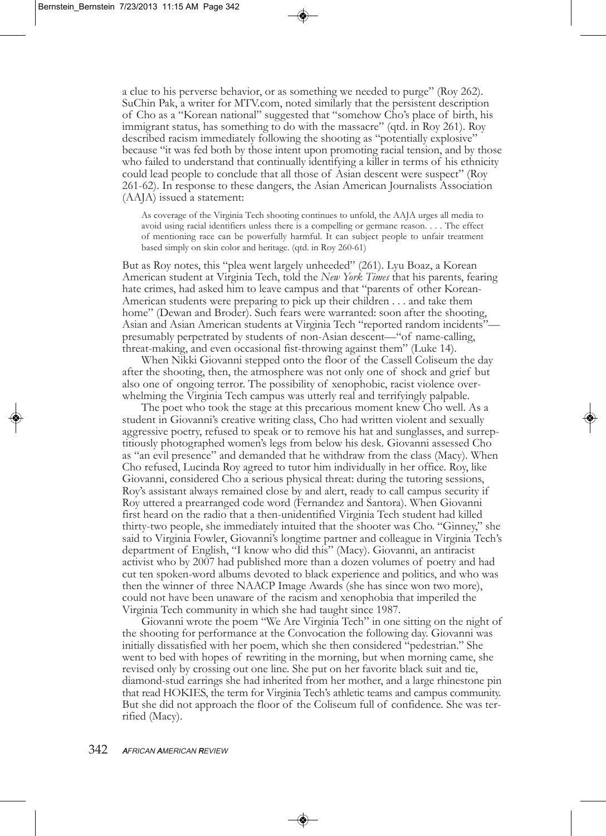a clue to his perverse behavior, or as something we needed to purge" (Roy 262). SuChin Pak, a writer for MTV.com, noted similarly that the persistent description of Cho as a "Korean national" suggested that "somehow Cho's place of birth, his immigrant status, has something to do with the massacre" (qtd. in Roy 261). Roy described racism immediately following the shooting as "potentially explosive" because "it was fed both by those intent upon promoting racial tension, and by those who failed to understand that continually identifying a killer in terms of his ethnicity could lead people to conclude that all those of Asian descent were suspect" (Roy 261-62). In response to these dangers, the Asian American Journalists Association (AAJA) issued a statement:

As coverage of the Virginia Tech shooting continues to unfold, the AAJA urges all media to avoid using racial identifiers unless there is a compelling or germane reason. . . . The effect of mentioning race can be powerfully harmful. It can subject people to unfair treatment based simply on skin color and heritage. (qtd. in Roy 260-61)

But as Roy notes, this "plea went largely unheeded" (261). Lyu Boaz, a Korean American student at Virginia Tech, told the *New York Times* that his parents, fearing hate crimes, had asked him to leave campus and that "parents of other Korean-American students were preparing to pick up their children . . . and take them home" (Dewan and Broder). Such fears were warranted: soon after the shooting, Asian and Asian American students at Virginia Tech "reported random incidents" presumably perpetrated by students of non-Asian descent—"of name-calling, threat-making, and even occasional fist-throwing against them" (Luke 14).

When Nikki Giovanni stepped onto the floor of the Cassell Coliseum the day after the shooting, then, the atmosphere was not only one of shock and grief but also one of ongoing terror. The possibility of xenophobic, racist violence overwhelming the Virginia Tech campus was utterly real and terrifyingly palpable.

The poet who took the stage at this precarious moment knew Cho well. As a student in Giovanni's creative writing class, Cho had written violent and sexually aggressive poetry, refused to speak or to remove his hat and sunglasses, and surreptitiously photographed women's legs from below his desk. Giovanni assessed Cho as "an evil presence" and demanded that he withdraw from the class (Macy). When Cho refused, Lucinda Roy agreed to tutor him individually in her office. Roy, like Giovanni, considered Cho a serious physical threat: during the tutoring sessions, Roy's assistant always remained close by and alert, ready to call campus security if Roy uttered a prearranged code word (Fernandez and Santora). When Giovanni first heard on the radio that a then-unidentified Virginia Tech student had killed thirty-two people, she immediately intuited that the shooter was Cho. "Ginney," she said to Virginia Fowler, Giovanni's longtime partner and colleague in Virginia Tech's department of English, "I know who did this" (Macy). Giovanni, an antiracist activist who by 2007 had published more than a dozen volumes of poetry and had cut ten spoken-word albums devoted to black experience and politics, and who was then the winner of three NAACP Image Awards (she has since won two more), could not have been unaware of the racism and xenophobia that imperiled the Virginia Tech community in which she had taught since 1987.

Giovanni wrote the poem "We Are Virginia Tech" in one sitting on the night of the shooting for performance at the Convocation the following day. Giovanni was initially dissatisfied with her poem, which she then considered "pedestrian." She went to bed with hopes of rewriting in the morning, but when morning came, she revised only by crossing out one line. She put on her favorite black suit and tie, diamond-stud earrings she had inherited from her mother, and a large rhinestone pin that read HOKIES, the term for Virginia Tech's athletic teams and campus community. But she did not approach the floor of the Coliseum full of confidence. She was terrified (Macy).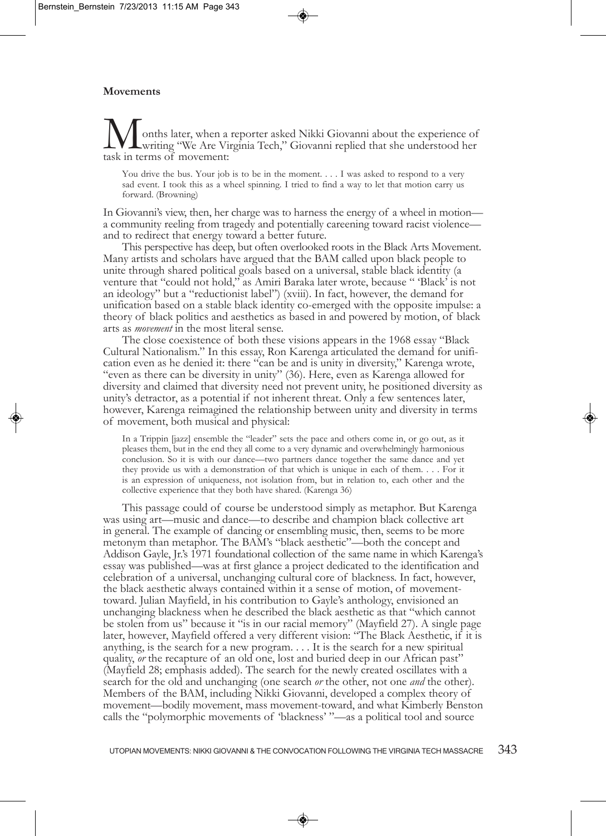#### **Movements**

onths later, when a reporter asked Nikki Giovanni about the experience of writing "We Are Virginia Tech," Giovanni replied that she understood her task in terms of movement:

You drive the bus. Your job is to be in the moment. . . . I was asked to respond to a very sad event. I took this as a wheel spinning. I tried to find a way to let that motion carry us forward. (Browning)

In Giovanni's view, then, her charge was to harness the energy of a wheel in motion a community reeling from tragedy and potentially careening toward racist violence and to redirect that energy toward a better future.

This perspective has deep, but often overlooked roots in the Black Arts Movement. Many artists and scholars have argued that the BAM called upon black people to unite through shared political goals based on a universal, stable black identity (a venture that "could not hold," as Amiri Baraka later wrote, because " 'Black' is not an ideology" but a "reductionist label") (xviii). In fact, however, the demand for unification based on a stable black identity co-emerged with the opposite impulse: a theory of black politics and aesthetics as based in and powered by motion, of black arts as *movement* in the most literal sense.

The close coexistence of both these visions appears in the 1968 essay "Black Cultural Nationalism." In this essay, Ron Karenga articulated the demand for unification even as he denied it: there "can be and is unity in diversity," Karenga wrote, "even as there can be diversity in unity" (36). Here, even as Karenga allowed for diversity and claimed that diversity need not prevent unity, he positioned diversity as unity's detractor, as a potential if not inherent threat. Only a few sentences later, however, Karenga reimagined the relationship between unity and diversity in terms of movement, both musical and physical:

In a Trippin [jazz] ensemble the "leader" sets the pace and others come in, or go out, as it pleases them, but in the end they all come to a very dynamic and overwhelmingly harmonious conclusion. So it is with our dance—two partners dance together the same dance and yet they provide us with a demonstration of that which is unique in each of them. . . . For it is an expression of uniqueness, not isolation from, but in relation to, each other and the collective experience that they both have shared. (Karenga 36)

This passage could of course be understood simply as metaphor. But Karenga was using art—music and dance—to describe and champion black collective art in general. The example of dancing or ensembling music, then, seems to be more metonym than metaphor. The BAM's "black aesthetic"—both the concept and Addison Gayle, Jr.'s 1971 foundational collection of the same name in which Karenga's essay was published—was at first glance a project dedicated to the identification and celebration of a universal, unchanging cultural core of blackness. In fact, however, the black aesthetic always contained within it a sense of motion, of movementtoward. Julian Mayfield, in his contribution to Gayle's anthology, envisioned an unchanging blackness when he described the black aesthetic as that "which cannot be stolen from us" because it "is in our racial memory" (Mayfield 27). A single page later, however, Mayfield offered a very different vision: "The Black Aesthetic, if it is anything, is the search for a new program. . . . It is the search for a new spiritual quality, *or* the recapture of an old one, lost and buried deep in our African past" (Mayfield 28; emphasis added). The search for the newly created oscillates with a search for the old and unchanging (one search *or* the other, not one *and* the other). Members of the BAM, including Nikki Giovanni, developed a complex theory of movement—bodily movement, mass movement-toward, and what Kimberly Benston calls the "polymorphic movements of 'blackness' "—as a political tool and source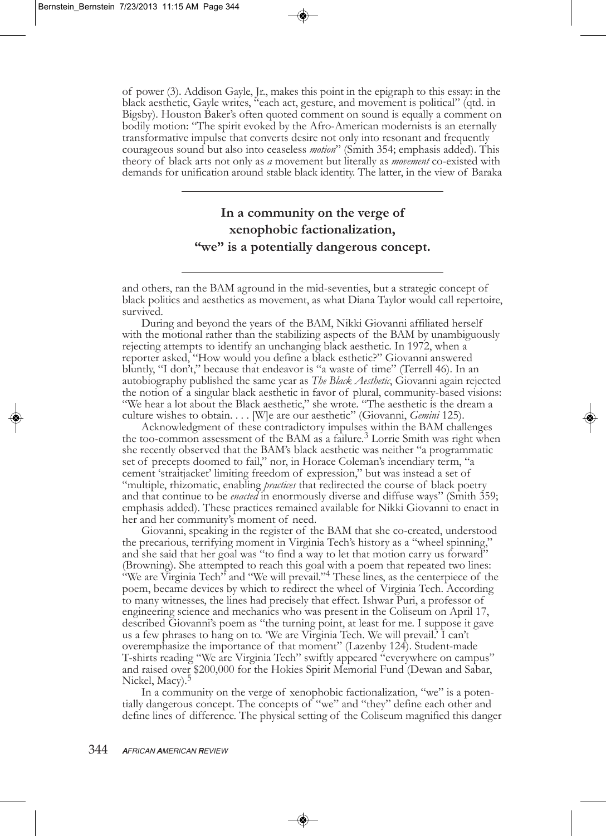of power (3). Addison Gayle, Jr., makes this point in the epigraph to this essay: in the black aesthetic, Gayle writes, "each act, gesture, and movement is political" (qtd. in Bigsby). Houston Baker's often quoted comment on sound is equally a comment on bodily motion: "The spirit evoked by the Afro-American modernists is an eternally transformative impulse that converts desire not only into resonant and frequently courageous sound but also into ceaseless *motion*" (Smith 354; emphasis added). This theory of black arts not only as *a* movement but literally as *movement* co-existed with demands for unification around stable black identity. The latter, in the view of Baraka

### **In a community on the verge of xenophobic factionalization, "we" is a potentially dangerous concept.**

and others, ran the BAM aground in the mid-seventies, but a strategic concept of black politics and aesthetics as movement, as what Diana Taylor would call repertoire, survived.

During and beyond the years of the BAM, Nikki Giovanni affiliated herself with the motional rather than the stabilizing aspects of the BAM by unambiguously rejecting attempts to identify an unchanging black aesthetic. In 1972, when a reporter asked, "How would you define a black esthetic?" Giovanni answered bluntly, "I don't," because that endeavor is "a waste of time" (Terrell 46). In an autobiography published the same year as *The Black Aesthetic*, Giovanni again rejected the notion of a singular black aesthetic in favor of plural, community-based visions: "We hear a lot about the Black aesthetic," she wrote. "The aesthetic is the dream a culture wishes to obtain. . . . [W]e are our aesthetic" (Giovanni, *Gemini* 125).

Acknowledgment of these contradictory impulses within the BAM challenges the too-common assessment of the BAM as a failure.<sup>3</sup> Lorrie Smith was right when she recently observed that the BAM's black aesthetic was neither "a programmatic set of precepts doomed to fail," nor, in Horace Coleman's incendiary term, "a cement 'straitjacket' limiting freedom of expression," but was instead a set of "multiple, rhizomatic, enabling *practices* that redirected the course of black poetry and that continue to be *enacted* in enormously diverse and diffuse ways" (Smith 359; emphasis added). These practices remained available for Nikki Giovanni to enact in her and her community's moment of need.

Giovanni, speaking in the register of the BAM that she co-created, understood the precarious, terrifying moment in Virginia Tech's history as a "wheel spinning," and she said that her goal was "to find a way to let that motion carry us forward" (Browning). She attempted to reach this goal with a poem that repeated two lines: "We are Virginia Tech" and "We will prevail."<sup>4</sup> These lines, as the centerpiece of the poem, became devices by which to redirect the wheel of Virginia Tech. According to many witnesses, the lines had precisely that effect. Ishwar Puri, a professor of engineering science and mechanics who was present in the Coliseum on April 17, described Giovanni's poem as "the turning point, at least for me. I suppose it gave us a few phrases to hang on to. 'We are Virginia Tech. We will prevail.' I can't overemphasize the importance of that moment" (Lazenby 124). Student-made T-shirts reading "We are Virginia Tech" swiftly appeared "everywhere on campus" and raised over \$200,000 for the Hokies Spirit Memorial Fund (Dewan and Sabar, Nickel, Macy).<sup>5</sup>

In a community on the verge of xenophobic factionalization, "we" is a potentially dangerous concept. The concepts of "we" and "they" define each other and define lines of difference. The physical setting of the Coliseum magnified this danger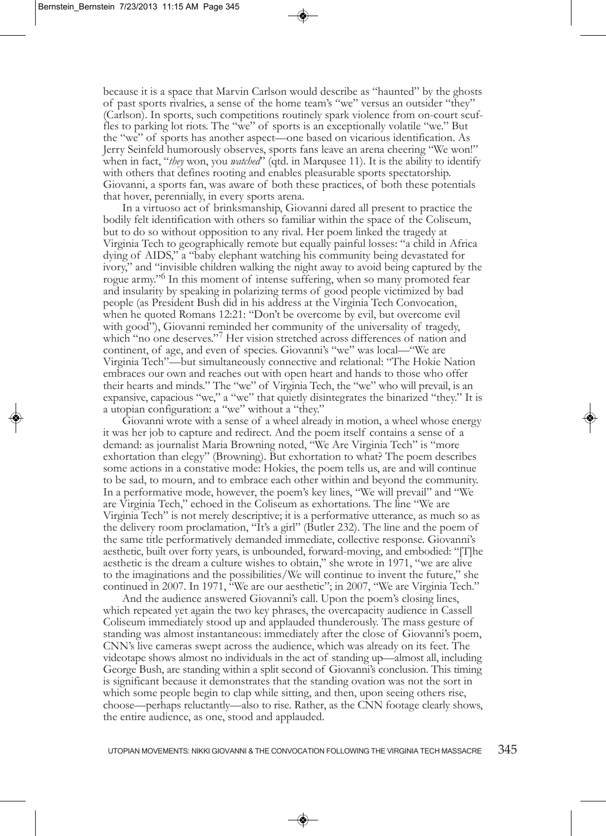because it is a space that Marvin Carlson would describe as "haunted" by the ghosts of past sports rivalries, a sense of the home team's "we" versus an outsider "they" (Carlson). In sports, such competitions routinely spark violence from on-court scuffles to parking lot riots. The "we" of sports is an exceptionally volatile "we." But the "we" of sports has another aspect—one based on vicarious identification. As Jerry Seinfeld humorously observes, sports fans leave an arena cheering "We won!" when in fact, "*they* won, you *watched*" (qtd. in Marqusee 11). It is the ability to identify with others that defines rooting and enables pleasurable sports spectatorship. Giovanni, a sports fan, was aware of both these practices, of both these potentials that hover, perennially, in every sports arena.

In a virtuoso act of brinksmanship, Giovanni dared all present to practice the bodily felt identification with others so familiar within the space of the Coliseum, but to do so without opposition to any rival. Her poem linked the tragedy at Virginia Tech to geographically remote but equally painful losses: "a child in Africa dying of AIDS," a "baby elephant watching his community being devastated for ivory," and "invisible children walking the night away to avoid being captured by the rogue army."6 In this moment of intense suffering, when so many promoted fear and insularity by speaking in polarizing terms of good people victimized by bad people (as President Bush did in his address at the Virginia Tech Convocation, when he quoted Romans 12:21: "Don't be overcome by evil, but overcome evil with good"), Giovanni reminded her community of the universality of tragedy, which "no one deserves."<sup>7</sup> Her vision stretched across differences of nation and continent, of age, and even of species. Giovanni's "we" was local—"We are Virginia Tech"—but simultaneously connective and relational: "The Hokie Nation embraces our own and reaches out with open heart and hands to those who offer their hearts and minds." The "we" of Virginia Tech, the "we" who will prevail, is an expansive, capacious "we," a "we" that quietly disintegrates the binarized "they." It is a utopian configuration: a "we" without a "they."

Giovanni wrote with a sense of a wheel already in motion, a wheel whose energy it was her job to capture and redirect. And the poem itself contains a sense of a demand: as journalist Maria Browning noted, "We Are Virginia Tech" is "more exhortation than elegy" (Browning). But exhortation to what? The poem describes some actions in a constative mode: Hokies, the poem tells us, are and will continue to be sad, to mourn, and to embrace each other within and beyond the community. In a performative mode, however, the poem's key lines, "We will prevail" and "We are Virginia Tech," echoed in the Coliseum as exhortations. The line "We are Virginia Tech" is not merely descriptive; it is a performative utterance, as much so as the delivery room proclamation, "It's a girl" (Butler 232). The line and the poem of the same title performatively demanded immediate, collective response. Giovanni's aesthetic, built over forty years, is unbounded, forward-moving, and embodied: "[T]he aesthetic is the dream a culture wishes to obtain," she wrote in 1971, "we are alive to the imaginations and the possibilities/We will continue to invent the future," she continued in 2007. In 1971, "We are our aesthetic"; in 2007, "We are Virginia Tech."

And the audience answered Giovanni's call. Upon the poem's closing lines, which repeated yet again the two key phrases, the overcapacity audience in Cassell Coliseum immediately stood up and applauded thunderously. The mass gesture of standing was almost instantaneous: immediately after the close of Giovanni's poem, CNN's live cameras swept across the audience, which was already on its feet. The videotape shows almost no individuals in the act of standing up—almost all, including George Bush, are standing within a split second of Giovanni's conclusion. This timing is significant because it demonstrates that the standing ovation was not the sort in which some people begin to clap while sitting, and then, upon seeing others rise, choose—perhaps reluctantly—also to rise. Rather, as the CNN footage clearly shows, the entire audience, as one, stood and applauded.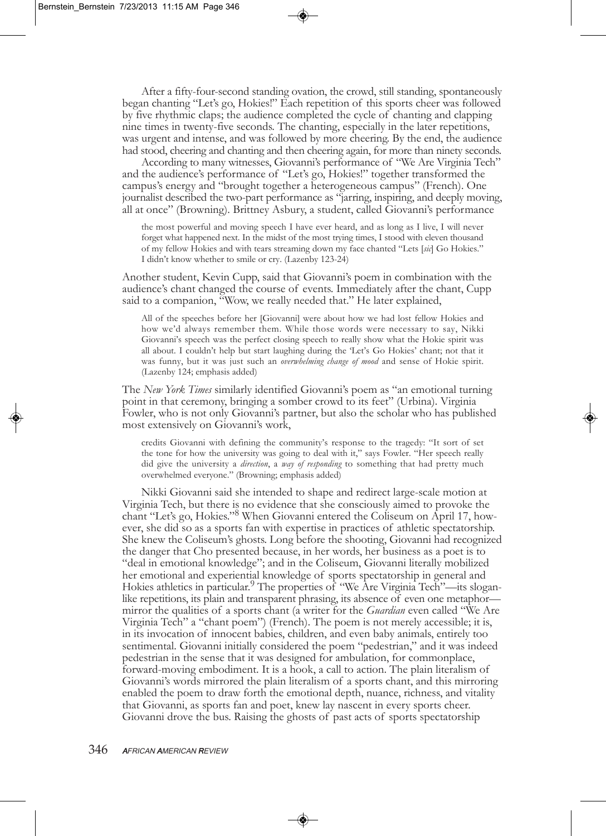After a fifty-four-second standing ovation, the crowd, still standing, spontaneously began chanting "Let's go, Hokies!" Each repetition of this sports cheer was followed by five rhythmic claps; the audience completed the cycle of chanting and clapping nine times in twenty-five seconds. The chanting, especially in the later repetitions, was urgent and intense, and was followed by more cheering. By the end, the audience had stood, cheering and chanting and then cheering again, for more than ninety seconds.

According to many witnesses, Giovanni's performance of "We Are Virginia Tech" and the audience's performance of "Let's go, Hokies!" together transformed the campus's energy and "brought together a heterogeneous campus" (French). One journalist described the two-part performance as "jarring, inspiring, and deeply moving, all at once" (Browning). Brittney Asbury, a student, called Giovanni's performance

the most powerful and moving speech I have ever heard, and as long as I live, I will never forget what happened next. In the midst of the most trying times, I stood with eleven thousand of my fellow Hokies and with tears streaming down my face chanted "Lets [*sic*] Go Hokies." I didn't know whether to smile or cry. (Lazenby 123-24)

Another student, Kevin Cupp, said that Giovanni's poem in combination with the audience's chant changed the course of events. Immediately after the chant, Cupp said to a companion, "Wow, we really needed that." He later explained,

All of the speeches before her [Giovanni] were about how we had lost fellow Hokies and how we'd always remember them. While those words were necessary to say, Nikki Giovanni's speech was the perfect closing speech to really show what the Hokie spirit was all about. I couldn't help but start laughing during the 'Let's Go Hokies' chant; not that it was funny, but it was just such an *overwhelming change of mood* and sense of Hokie spirit. (Lazenby 124; emphasis added)

The *New York Times* similarly identified Giovanni's poem as "an emotional turning point in that ceremony, bringing a somber crowd to its feet" (Urbina). Virginia Fowler, who is not only Giovanni's partner, but also the scholar who has published most extensively on Giovanni's work,

credits Giovanni with defining the community's response to the tragedy: "It sort of set the tone for how the university was going to deal with it," says Fowler. "Her speech really did give the university a *direction*, a *way of responding* to something that had pretty much overwhelmed everyone." (Browning; emphasis added)

Nikki Giovanni said she intended to shape and redirect large-scale motion at Virginia Tech, but there is no evidence that she consciously aimed to provoke the chant "Let's go, Hokies."<sup>8</sup> When Giovanni entered the Coliseum on April 17, however, she did so as a sports fan with expertise in practices of athletic spectatorship. She knew the Coliseum's ghosts. Long before the shooting, Giovanni had recognized the danger that Cho presented because, in her words, her business as a poet is to "deal in emotional knowledge"; and in the Coliseum, Giovanni literally mobilized her emotional and experiential knowledge of sports spectatorship in general and Hokies athletics in particular.<sup>9</sup> The properties of "We Are Virginia Tech"—its sloganlike repetitions, its plain and transparent phrasing, its absence of even one metaphor mirror the qualities of a sports chant (a writer for the *Guardian* even called "We Are Virginia Tech" a "chant poem") (French). The poem is not merely accessible; it is, in its invocation of innocent babies, children, and even baby animals, entirely too sentimental. Giovanni initially considered the poem "pedestrian," and it was indeed pedestrian in the sense that it was designed for ambulation, for commonplace, forward-moving embodiment. It is a hook, a call to action. The plain literalism of Giovanni's words mirrored the plain literalism of a sports chant, and this mirroring enabled the poem to draw forth the emotional depth, nuance, richness, and vitality that Giovanni, as sports fan and poet, knew lay nascent in every sports cheer. Giovanni drove the bus. Raising the ghosts of past acts of sports spectatorship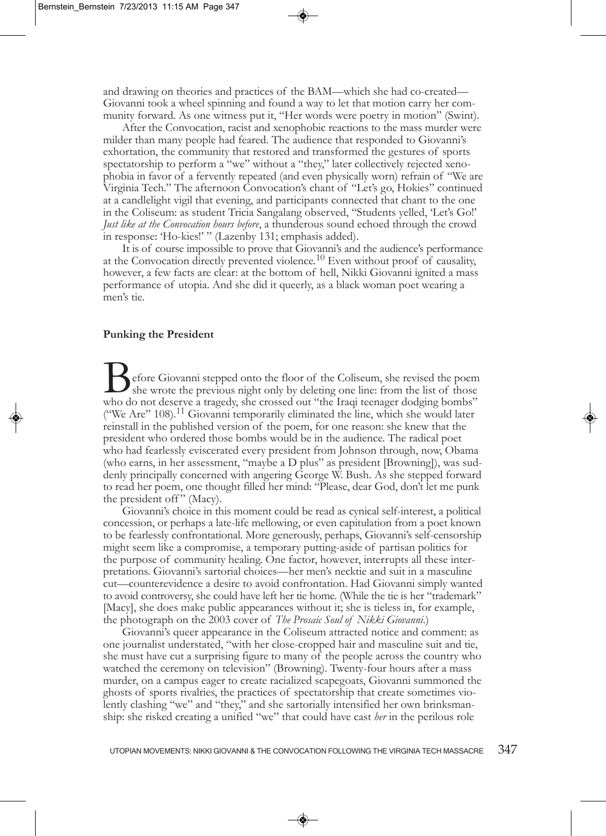and drawing on theories and practices of the BAM—which she had co-created— Giovanni took a wheel spinning and found a way to let that motion carry her community forward. As one witness put it, "Her words were poetry in motion" (Swint).

After the Convocation, racist and xenophobic reactions to the mass murder were milder than many people had feared. The audience that responded to Giovanni's exhortation, the community that restored and transformed the gestures of sports spectatorship to perform a "we" without a "they," later collectively rejected xenophobia in favor of a fervently repeated (and even physically worn) refrain of "We are Virginia Tech." The afternoon Convocation's chant of "Let's go, Hokies" continued at a candlelight vigil that evening, and participants connected that chant to the one in the Coliseum: as student Tricia Sangalang observed, "Students yelled, 'Let's Go!' *Just like at the Convocation hours before*, a thunderous sound echoed through the crowd in response: 'Ho-kies!' " (Lazenby 131; emphasis added).

It is of course impossible to prove that Giovanni's and the audience's performance at the Convocation directly prevented violence.<sup>10</sup> Even without proof of causality, however, a few facts are clear: at the bottom of hell, Nikki Giovanni ignited a mass performance of utopia. And she did it queerly, as a black woman poet wearing a men's tie.

#### **Punking the President**

**B**efore Giovanni stepped onto the floor of the Coliseum, she revised the poem she wrote the previous night only by deleting one line: from the list of those who do not deserve a traced with crossed out "the Iraqi teenager who do not deserve a tragedy, she crossed out "the Iraqi teenager dodging bombs" ("We Are"  $108$ ).<sup>11</sup> Giovanni temporarily eliminated the line, which she would later reinstall in the published version of the poem, for one reason: she knew that the president who ordered those bombs would be in the audience. The radical poet who had fearlessly eviscerated every president from Johnson through, now, Obama (who earns, in her assessment, "maybe a D plus" as president [Browning]), was suddenly principally concerned with angering George W. Bush. As she stepped forward to read her poem, one thought filled her mind: "Please, dear God, don't let me punk the president off" (Macy).

Giovanni's choice in this moment could be read as cynical self-interest, a political concession, or perhaps a late-life mellowing, or even capitulation from a poet known to be fearlessly confrontational. More generously, perhaps, Giovanni's self-censorship might seem like a compromise, a temporary putting-aside of partisan politics for the purpose of community healing. One factor, however, interrupts all these interpretations. Giovanni's sartorial choices—her men's necktie and suit in a masculine cut—counterevidence a desire to avoid confrontation. Had Giovanni simply wanted to avoid controversy, she could have left her tie home. (While the tie is her "trademark" [Macy], she does make public appearances without it; she is tieless in, for example, the photograph on the 2003 cover of *The Prosaic Soul of Nikki Giovanni*.)

Giovanni's queer appearance in the Coliseum attracted notice and comment: as one journalist understated, "with her close-cropped hair and masculine suit and tie, she must have cut a surprising figure to many of the people across the country who watched the ceremony on television" (Browning). Twenty-four hours after a mass murder, on a campus eager to create racialized scapegoats, Giovanni summoned the ghosts of sports rivalries, the practices of spectatorship that create sometimes violently clashing "we" and "they," and she sartorially intensified her own brinksmanship: she risked creating a unified "we" that could have cast *her* in the perilous role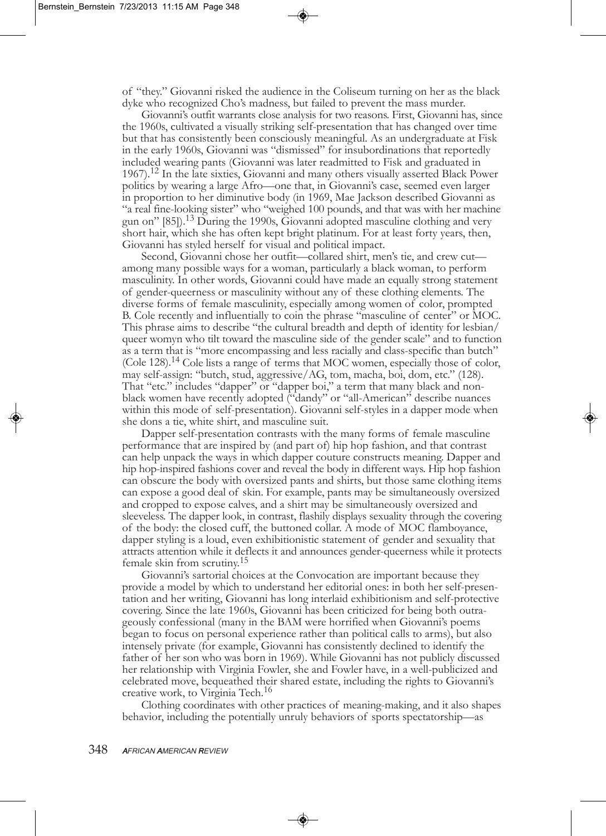of "they." Giovanni risked the audience in the Coliseum turning on her as the black dyke who recognized Cho's madness, but failed to prevent the mass murder.

Giovanni's outfit warrants close analysis for two reasons. First, Giovanni has, since the 1960s, cultivated a visually striking self-presentation that has changed over time but that has consistently been consciously meaningful. As an undergraduate at Fisk in the early 1960s, Giovanni was "dismissed" for insubordinations that reportedly included wearing pants (Giovanni was later readmitted to Fisk and graduated in  $1967$ ).<sup>12</sup> In the late sixties, Giovanni and many others visually asserted Black Power politics by wearing a large Afro—one that, in Giovanni's case, seemed even larger in proportion to her diminutive body (in 1969, Mae Jackson described Giovanni as "a real fine-looking sister" who "weighed 100 pounds, and that was with her machine gun on" [85]).<sup>13</sup> During the 1990s, Giovanni adopted masculine clothing and very short hair, which she has often kept bright platinum. For at least forty years, then, Giovanni has styled herself for visual and political impact.

Second, Giovanni chose her outfit—collared shirt, men's tie, and crew cut among many possible ways for a woman, particularly a black woman, to perform masculinity. In other words, Giovanni could have made an equally strong statement of gender-queerness or masculinity without any of these clothing elements. The diverse forms of female masculinity, especially among women of color, prompted B. Cole recently and influentially to coin the phrase "masculine of center" or MOC. This phrase aims to describe "the cultural breadth and depth of identity for lesbian/ queer womyn who tilt toward the masculine side of the gender scale" and to function as a term that is "more encompassing and less racially and class-specific than butch" (Cole 128).14 Cole lists a range of terms that MOC women, especially those of color, may self-assign: "butch, stud, aggressive/AG, tom, macha, boi, dom, etc." (128). That "etc." includes "dapper" or "dapper boi," a term that many black and nonblack women have recently adopted ("dandy" or "all-American" describe nuances within this mode of self-presentation). Giovanni self-styles in a dapper mode when she dons a tie, white shirt, and masculine suit.

Dapper self-presentation contrasts with the many forms of female masculine performance that are inspired by (and part of) hip hop fashion, and that contrast can help unpack the ways in which dapper couture constructs meaning. Dapper and hip hop-inspired fashions cover and reveal the body in different ways. Hip hop fashion can obscure the body with oversized pants and shirts, but those same clothing items can expose a good deal of skin. For example, pants may be simultaneously oversized and cropped to expose calves, and a shirt may be simultaneously oversized and sleeveless. The dapper look, in contrast, flashily displays sexuality through the covering of the body: the closed cuff, the buttoned collar. A mode of MOC flamboyance, dapper styling is a loud, even exhibitionistic statement of gender and sexuality that attracts attention while it deflects it and announces gender-queerness while it protects female skin from scrutiny.<sup>15</sup>

Giovanni's sartorial choices at the Convocation are important because they provide a model by which to understand her editorial ones: in both her self-presentation and her writing, Giovanni has long interlaid exhibitionism and self-protective covering. Since the late 1960s, Giovanni has been criticized for being both outrageously confessional (many in the BAM were horrified when Giovanni's poems began to focus on personal experience rather than political calls to arms), but also intensely private (for example, Giovanni has consistently declined to identify the father of her son who was born in 1969). While Giovanni has not publicly discussed her relationship with Virginia Fowler, she and Fowler have, in a well-publicized and celebrated move, bequeathed their shared estate, including the rights to Giovanni's creative work, to Virginia Tech.<sup>16</sup>

Clothing coordinates with other practices of meaning-making, and it also shapes behavior, including the potentially unruly behaviors of sports spectatorship—as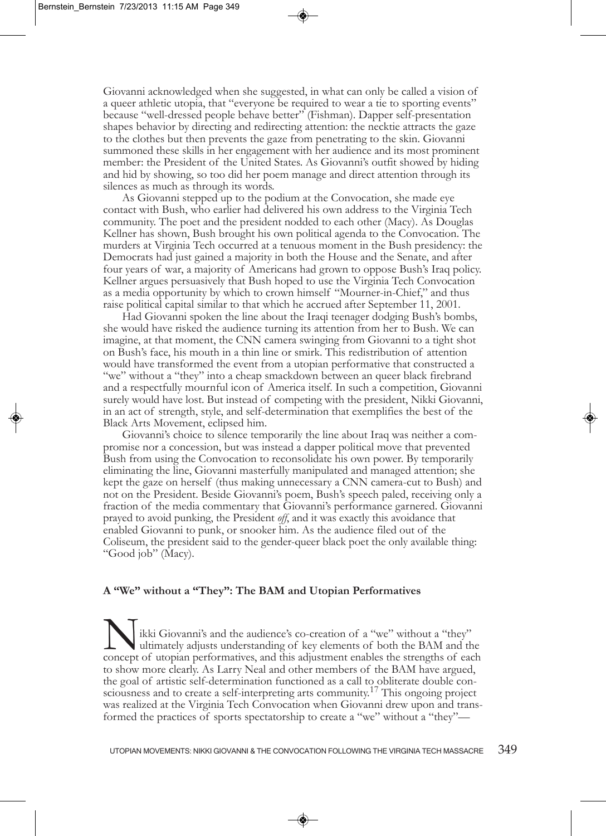Giovanni acknowledged when she suggested, in what can only be called a vision of a queer athletic utopia, that "everyone be required to wear a tie to sporting events" because "well-dressed people behave better" (Fishman). Dapper self-presentation shapes behavior by directing and redirecting attention: the necktie attracts the gaze to the clothes but then prevents the gaze from penetrating to the skin. Giovanni summoned these skills in her engagement with her audience and its most prominent member: the President of the United States. As Giovanni's outfit showed by hiding and hid by showing, so too did her poem manage and direct attention through its silences as much as through its words.

As Giovanni stepped up to the podium at the Convocation, she made eye contact with Bush, who earlier had delivered his own address to the Virginia Tech community. The poet and the president nodded to each other (Macy). As Douglas Kellner has shown, Bush brought his own political agenda to the Convocation. The murders at Virginia Tech occurred at a tenuous moment in the Bush presidency: the Democrats had just gained a majority in both the House and the Senate, and after four years of war, a majority of Americans had grown to oppose Bush's Iraq policy. Kellner argues persuasively that Bush hoped to use the Virginia Tech Convocation as a media opportunity by which to crown himself "Mourner-in-Chief," and thus raise political capital similar to that which he accrued after September 11, 2001.

Had Giovanni spoken the line about the Iraqi teenager dodging Bush's bombs, she would have risked the audience turning its attention from her to Bush. We can imagine, at that moment, the CNN camera swinging from Giovanni to a tight shot on Bush's face, his mouth in a thin line or smirk. This redistribution of attention would have transformed the event from a utopian performative that constructed a "we" without a "they" into a cheap smackdown between an queer black firebrand and a respectfully mournful icon of America itself. In such a competition, Giovanni surely would have lost. But instead of competing with the president, Nikki Giovanni, in an act of strength, style, and self-determination that exemplifies the best of the Black Arts Movement, eclipsed him.

Giovanni's choice to silence temporarily the line about Iraq was neither a compromise nor a concession, but was instead a dapper political move that prevented Bush from using the Convocation to reconsolidate his own power. By temporarily eliminating the line, Giovanni masterfully manipulated and managed attention; she kept the gaze on herself (thus making unnecessary a CNN camera-cut to Bush) and not on the President. Beside Giovanni's poem, Bush's speech paled, receiving only a fraction of the media commentary that Giovanni's performance garnered. Giovanni prayed to avoid punking, the President *off*, and it was exactly this avoidance that enabled Giovanni to punk, or snooker him. As the audience filed out of the Coliseum, the president said to the gender-queer black poet the only available thing: "Good job" (Macy).

#### **A "We" without a "They": The BAM and Utopian Performatives**

ikki Giovanni's and the audience's co-creation of a "we" without a "they" ultimately adjusts understanding of key elements of both the BAM and the concept of utopian performatives, and this adjustment enables the strengths of each to show more clearly. As Larry Neal and other members of the BAM have argued, the goal of artistic self-determination functioned as a call to obliterate double consciousness and to create a self-interpreting arts community.<sup>17</sup> This ongoing project was realized at the Virginia Tech Convocation when Giovanni drew upon and transformed the practices of sports spectatorship to create a "we" without a "they"—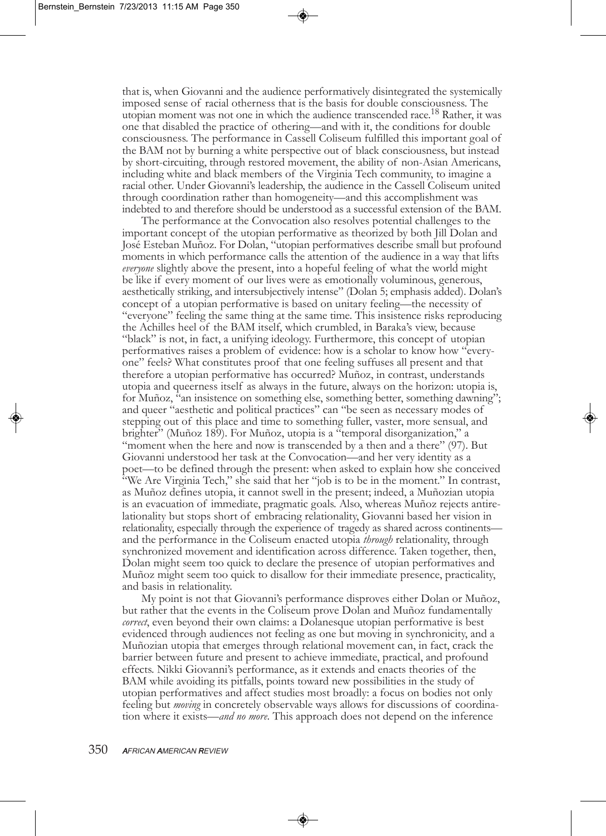that is, when Giovanni and the audience performatively disintegrated the systemically imposed sense of racial otherness that is the basis for double consciousness. The utopian moment was not one in which the audience transcended race.<sup>18</sup> Rather, it was one that disabled the practice of othering—and with it, the conditions for double consciousness. The performance in Cassell Coliseum fulfilled this important goal of the BAM not by burning a white perspective out of black consciousness, but instead by short-circuiting, through restored movement, the ability of non-Asian Americans, including white and black members of the Virginia Tech community, to imagine a racial other. Under Giovanni's leadership, the audience in the Cassell Coliseum united through coordination rather than homogeneity—and this accomplishment was indebted to and therefore should be understood as a successful extension of the BAM.

The performance at the Convocation also resolves potential challenges to the important concept of the utopian performative as theorized by both Jill Dolan and José Esteban Muñoz. For Dolan, "utopian performatives describe small but profound moments in which performance calls the attention of the audience in a way that lifts *everyone* slightly above the present, into a hopeful feeling of what the world might be like if every moment of our lives were as emotionally voluminous, generous, aesthetically striking, and intersubjectively intense" (Dolan 5; emphasis added). Dolan's concept of a utopian performative is based on unitary feeling—the necessity of "everyone" feeling the same thing at the same time. This insistence risks reproducing the Achilles heel of the BAM itself, which crumbled, in Baraka's view, because "black" is not, in fact, a unifying ideology. Furthermore, this concept of utopian performatives raises a problem of evidence: how is a scholar to know how "everyone" feels? What constitutes proof that one feeling suffuses all present and that therefore a utopian performative has occurred? Muñoz, in contrast, understands utopia and queerness itself as always in the future, always on the horizon: utopia is, for Muñoz, "an insistence on something else, something better, something dawning"; and queer "aesthetic and political practices" can "be seen as necessary modes of stepping out of this place and time to something fuller, vaster, more sensual, and brighter" (Muñoz 189). For Muñoz, utopia is a "temporal disorganization," a "moment when the here and now is transcended by a then and a there" (97). But Giovanni understood her task at the Convocation—and her very identity as a poet—to be defined through the present: when asked to explain how she conceived "We Are Virginia Tech," she said that her "job is to be in the moment." In contrast, as Muñoz defines utopia, it cannot swell in the present; indeed, a Muñozian utopia is an evacuation of immediate, pragmatic goals. Also, whereas Muñoz rejects antirelationality but stops short of embracing relationality, Giovanni based her vision in relationality, especially through the experience of tragedy as shared across continents and the performance in the Coliseum enacted utopia *through* relationality, through synchronized movement and identification across difference. Taken together, then, Dolan might seem too quick to declare the presence of utopian performatives and Muñoz might seem too quick to disallow for their immediate presence, practicality, and basis in relationality.

My point is not that Giovanni's performance disproves either Dolan or Muñoz, but rather that the events in the Coliseum prove Dolan and Muñoz fundamentally *correct*, even beyond their own claims: a Dolanesque utopian performative is best evidenced through audiences not feeling as one but moving in synchronicity, and a Muñozian utopia that emerges through relational movement can, in fact, crack the barrier between future and present to achieve immediate, practical, and profound effects. Nikki Giovanni's performance, as it extends and enacts theories of the BAM while avoiding its pitfalls, points toward new possibilities in the study of utopian performatives and affect studies most broadly: a focus on bodies not only feeling but *moving* in concretely observable ways allows for discussions of coordination where it exists—*and no more*. This approach does not depend on the inference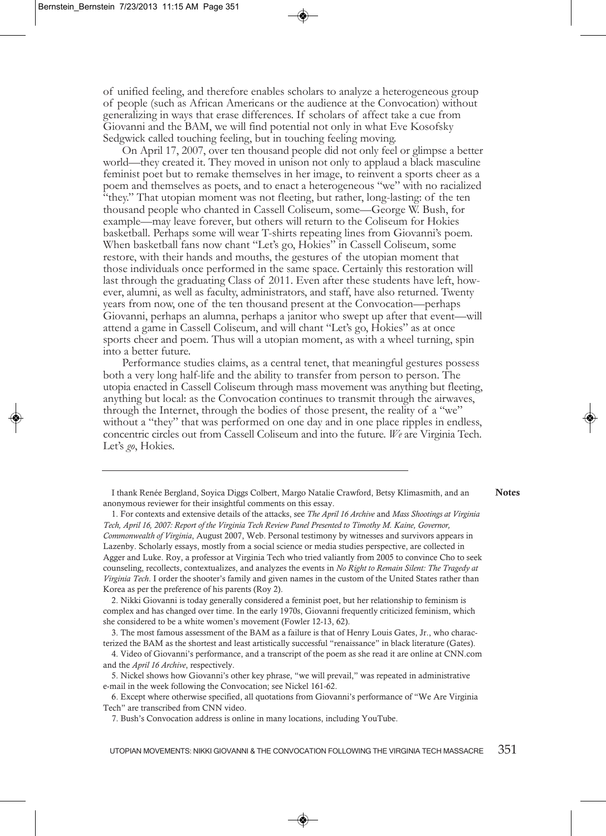of unified feeling, and therefore enables scholars to analyze a heterogeneous group of people (such as African Americans or the audience at the Convocation) without generalizing in ways that erase differences. If scholars of affect take a cue from Giovanni and the BAM, we will find potential not only in what Eve Kosofsky Sedgwick called touching feeling, but in touching feeling moving.

On April 17, 2007, over ten thousand people did not only feel or glimpse a better world—they created it. They moved in unison not only to applaud a black masculine feminist poet but to remake themselves in her image, to reinvent a sports cheer as a poem and themselves as poets, and to enact a heterogeneous "we" with no racialized "they." That utopian moment was not fleeting, but rather, long-lasting: of the ten thousand people who chanted in Cassell Coliseum, some—George W. Bush, for example—may leave forever, but others will return to the Coliseum for Hokies basketball. Perhaps some will wear T-shirts repeating lines from Giovanni's poem. When basketball fans now chant "Let's go, Hokies" in Cassell Coliseum, some restore, with their hands and mouths, the gestures of the utopian moment that those individuals once performed in the same space. Certainly this restoration will last through the graduating Class of 2011. Even after these students have left, however, alumni, as well as faculty, administrators, and staff, have also returned. Twenty years from now, one of the ten thousand present at the Convocation—perhaps Giovanni, perhaps an alumna, perhaps a janitor who swept up after that event—will attend a game in Cassell Coliseum, and will chant "Let's go, Hokies" as at once sports cheer and poem. Thus will a utopian moment, as with a wheel turning, spin into a better future.

Performance studies claims, as a central tenet, that meaningful gestures possess both a very long half-life and the ability to transfer from person to person. The utopia enacted in Cassell Coliseum through mass movement was anything but fleeting, anything but local: as the Convocation continues to transmit through the airwaves, through the Internet, through the bodies of those present, the reality of a "we" without a "they" that was performed on one day and in one place ripples in endless, concentric circles out from Cassell Coliseum and into the future. *We* are Virginia Tech. Let's *go*, Hokies.

1. For contexts and extensive details of the attacks, see *The April 16 Archive* and *Mass Shootings at Virginia Tech, April 16, 2007: Report of the Virginia Tech Review Panel Presented to Timothy M. Kaine, Governor, Commonwealth of Virginia*, August 2007, Web. Personal testimony by witnesses and survivors appears in Lazenby. Scholarly essays, mostly from a social science or media studies perspective, are collected in Agger and Luke. Roy, a professor at Virginia Tech who tried valiantly from 2005 to convince Cho to seek counseling, recollects, contextualizes, and analyzes the events in *No Right to Remain Silent: The Tragedy at Virginia Tech*. I order the shooter's family and given names in the custom of the United States rather than Korea as per the preference of his parents (Roy 2).

2. Nikki Giovanni is today generally considered a feminist poet, but her relationship to feminism is complex and has changed over time. In the early 1970s, Giovanni frequently criticized feminism, which she considered to be a white women's movement (Fowler 12-13, 62).

3. The most famous assessment of the BAM as a failure is that of Henry Louis Gates, Jr., who characterized the BAM as the shortest and least artistically successful "renaissance" in black literature (Gates).

4. Video of Giovanni's performance, and a transcript of the poem as she read it are online at CNN.com and the *April 16 Archive*, respectively.

5. Nickel shows how Giovanni's other key phrase, "we will prevail," was repeated in administrative e-mail in the week following the Convocation; see Nickel 161-62.

6. Except where otherwise specified, all quotations from Giovanni's performance of "We Are Virginia Tech" are transcribed from CNN video.

I thank Renée Bergland, Soyica Diggs Colbert, Margo Natalie Crawford, Betsy Klimasmith, and an anonymous reviewer for their insightful comments on this essay. **Notes**

<sup>7.</sup> Bush's Convocation address is online in many locations, including YouTube.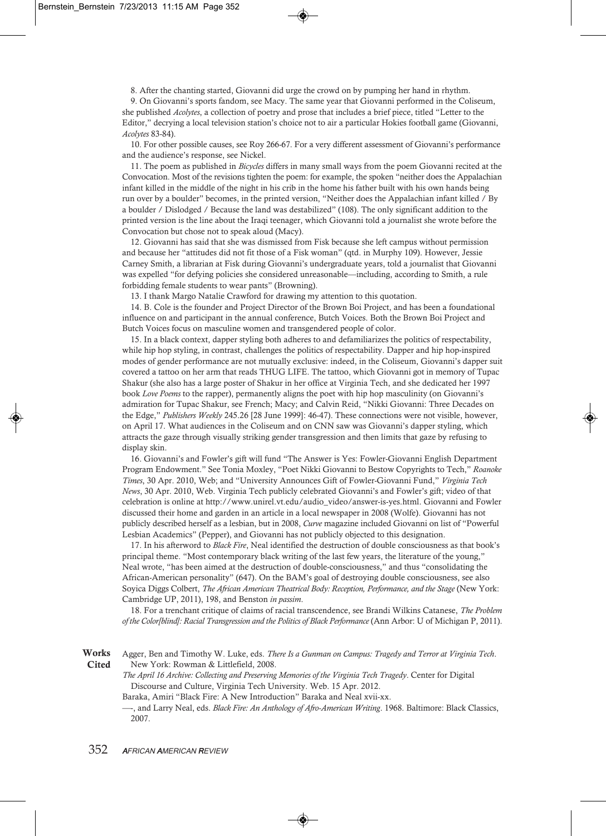8. After the chanting started, Giovanni did urge the crowd on by pumping her hand in rhythm.

9. On Giovanni's sports fandom, see Macy. The same year that Giovanni performed in the Coliseum, she published *Acolytes*, a collection of poetry and prose that includes a brief piece, titled "Letter to the Editor," decrying a local television station's choice not to air a particular Hokies football game (Giovanni, *Acolytes* 83-84).

10. For other possible causes, see Roy 266-67. For a very different assessment of Giovanni's performance and the audience's response, see Nickel.

11. The poem as published in *Bicycles* differs in many small ways from the poem Giovanni recited at the Convocation. Most of the revisions tighten the poem: for example, the spoken "neither does the Appalachian infant killed in the middle of the night in his crib in the home his father built with his own hands being run over by a boulder" becomes, in the printed version, "Neither does the Appalachian infant killed / By a boulder / Dislodged / Because the land was destabilized" (108). The only significant addition to the printed version is the line about the Iraqi teenager, which Giovanni told a journalist she wrote before the Convocation but chose not to speak aloud (Macy).

12. Giovanni has said that she was dismissed from Fisk because she left campus without permission and because her "attitudes did not fit those of a Fisk woman" (qtd. in Murphy 109). However, Jessie Carney Smith, a librarian at Fisk during Giovanni's undergraduate years, told a journalist that Giovanni was expelled "for defying policies she considered unreasonable—including, according to Smith, a rule forbidding female students to wear pants" (Browning).

13. I thank Margo Natalie Crawford for drawing my attention to this quotation.

14. B. Cole is the founder and Project Director of the Brown Boi Project, and has been a foundational influence on and participant in the annual conference, Butch Voices. Both the Brown Boi Project and Butch Voices focus on masculine women and transgendered people of color.

15. In a black context, dapper styling both adheres to and defamiliarizes the politics of respectability, while hip hop styling, in contrast, challenges the politics of respectability. Dapper and hip hop-inspired modes of gender performance are not mutually exclusive: indeed, in the Coliseum, Giovanni's dapper suit covered a tattoo on her arm that reads THUG LIFE. The tattoo, which Giovanni got in memory of Tupac Shakur (she also has a large poster of Shakur in her office at Virginia Tech, and she dedicated her 1997 book *Love Poems* to the rapper), permanently aligns the poet with hip hop masculinity (on Giovanni's admiration for Tupac Shakur, see French; Macy; and Calvin Reid, "Nikki Giovanni: Three Decades on the Edge," *Publishers Weekly* 245.26 [28 June 1999]: 46-47). These connections were not visible, however, on April 17. What audiences in the Coliseum and on CNN saw was Giovanni's dapper styling, which attracts the gaze through visually striking gender transgression and then limits that gaze by refusing to display skin.

16. Giovanni's and Fowler's gift will fund "The Answer is Yes: Fowler-Giovanni English Department Program Endowment." See Tonia Moxley, "Poet Nikki Giovanni to Bestow Copyrights to Tech," *Roanoke Times*, 30 Apr. 2010, Web; and "University Announces Gift of Fowler-Giovanni Fund," *Virginia Tech News*, 30 Apr. 2010, Web. Virginia Tech publicly celebrated Giovanni's and Fowler's gift; video of that celebration is online at http://www.unirel.vt.edu/audio\_video/answer-is-yes.html. Giovanni and Fowler discussed their home and garden in an article in a local newspaper in 2008 (Wolfe). Giovanni has not publicly described herself as a lesbian, but in 2008, *Curve* magazine included Giovanni on list of "Powerful Lesbian Academics" (Pepper), and Giovanni has not publicly objected to this designation.

17. In his afterword to *Black Fire*, Neal identified the destruction of double consciousness as that book's principal theme. "Most contemporary black writing of the last few years, the literature of the young," Neal wrote, "has been aimed at the destruction of double-consciousness," and thus "consolidating the African-American personality" (647). On the BAM's goal of destroying double consciousness, see also Soyica Diggs Colbert, *The African American Theatrical Body: Reception, Performance, and the Stage* (New York: Cambridge UP, 2011), 198, and Benston *in passim*.

18. For a trenchant critique of claims of racial transcendence, see Brandi Wilkins Catanese, *The Problem of the Color[blind]: Racial Transgression and the Politics of Black Performance* (Ann Arbor: U of Michigan P, 2011).

Agger, Ben and Timothy W. Luke, eds. *There Is a Gunman on Campus: Tragedy and Terror at Virginia Tech*. New York: Rowman & Littlefield, 2008. **Works Cited**

*The April 16 Archive: Collecting and Preserving Memories of the Virginia Tech Tragedy*. Center for Digital Discourse and Culture, Virginia Tech University. Web. 15 Apr. 2012.

Baraka, Amiri "Black Fire: A New Introduction" Baraka and Neal xvii-xx.

—-, and Larry Neal, eds. *Black Fire: An Anthology of Afro-American Writing*. 1968. Baltimore: Black Classics, 2007.